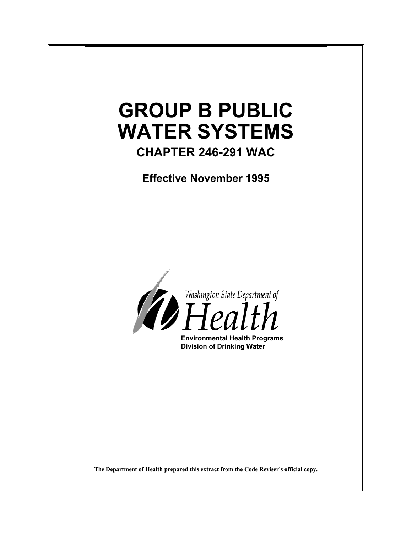# **GROUP B PUBLIC WATER SYSTEMS**

 **CHAPTER 246-291 WAC** 

 **Effective November 1995** 



 **Environmental Health Programs Division of Drinking Water**

 **The Department of Health prepared this extract from the Code Reviser's official copy.**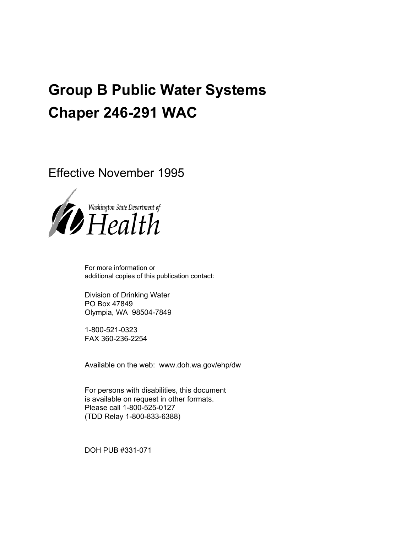## **Group B Public Water Systems Chaper 246-291 WAC**

Effective November 1995



For more information or additional copies of this publication contact:

Division of Drinking Water PO Box 47849 Olympia, WA 98504-7849

1-800-521-0323 FAX 360-236-2254

Available on the web: www.doh.wa.gov/ehp/dw

For persons with disabilities, this document is available on request in other formats. Please call 1-800-525-0127 (TDD Relay 1-800-833-6388)

DOH PUB #331-071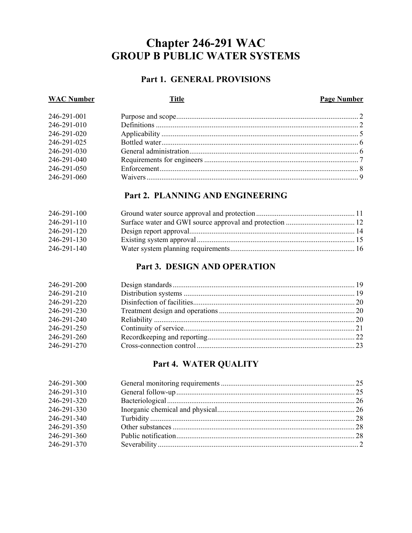### Chapter 246-291 WAC **GROUP B PUBLIC WATER SYSTEMS**

#### Part 1. GENERAL PROVISIONS

**Title** 

**WAC Number** 

## **Page Number**

| 246-291-001 |  |
|-------------|--|
| 246-291-010 |  |
| 246-291-020 |  |
| 246-291-025 |  |
| 246-291-030 |  |
| 246-291-040 |  |
| 246-291-050 |  |
| 246-291-060 |  |
|             |  |

#### Part 2. PLANNING AND ENGINEERING

| 246-291-100 |  |
|-------------|--|
| 246-291-110 |  |
| 246-291-120 |  |
| 246-291-130 |  |
| 246-291-140 |  |

#### Part 3. DESIGN AND OPERATION

| 246-291-200 |  |
|-------------|--|
| 246-291-210 |  |
| 246-291-220 |  |
| 246-291-230 |  |
| 246-291-240 |  |
| 246-291-250 |  |
| 246-291-260 |  |
| 246-291-270 |  |
|             |  |

#### Part 4. WATER QUALITY

| 246-291-300 |  |
|-------------|--|
| 246-291-310 |  |
| 246-291-320 |  |
| 246-291-330 |  |
| 246-291-340 |  |
| 246-291-350 |  |
| 246-291-360 |  |
| 246-291-370 |  |
|             |  |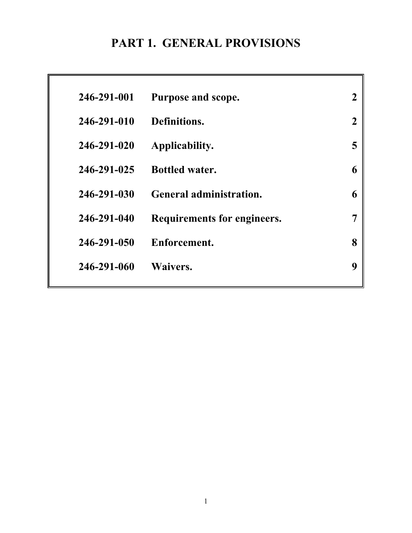### **PART 1. GENERAL PROVISIONS**

| 246-291-001 | Purpose and scope.             | 2           |
|-------------|--------------------------------|-------------|
| 246-291-010 | Definitions.                   | $\mathbf 2$ |
| 246-291-020 | Applicability.                 | 5           |
| 246-291-025 | <b>Bottled water.</b>          | 6           |
| 246-291-030 | <b>General administration.</b> | 6           |
| 246-291-040 | Requirements for engineers.    | 7           |
| 246-291-050 | Enforcement.                   | 8           |
| 246-291-060 | <b>Waivers.</b>                | 9           |
|             |                                |             |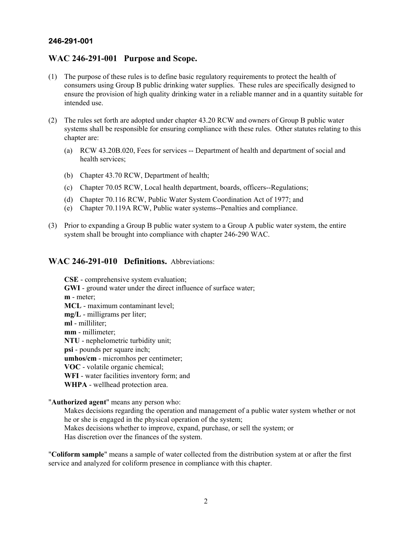#### **WAC 246-291-001 Purpose and Scope.**

- (1) The purpose of these rules is to define basic regulatory requirements to protect the health of consumers using Group B public drinking water supplies. These rules are specifically designed to ensure the provision of high quality drinking water in a reliable manner and in a quantity suitable for intended use.
- (2) The rules set forth are adopted under chapter 43.20 RCW and owners of Group B public water systems shall be responsible for ensuring compliance with these rules. Other statutes relating to this chapter are:
	- (a) RCW 43.20B.020, Fees for services -- Department of health and department of social and health services;
	- (b) Chapter 43.70 RCW, Department of health;
	- (c) Chapter 70.05 RCW, Local health department, boards, officers--Regulations;
	- (d) Chapter 70.116 RCW, Public Water System Coordination Act of 1977; and
	- (e) Chapter 70.119A RCW, Public water systems--Penalties and compliance.
- (3) Prior to expanding a Group B public water system to a Group A public water system, the entire system shall be brought into compliance with chapter 246-290 WAC.

#### **WAC 246-291-010 Definitions.** Abbreviations:

 **CSE** - comprehensive system evaluation;  **GWI** - ground water under the direct influence of surface water; **m** - meter; **MCL** - maximum contaminant level;  **mg/L** - milligrams per liter;  **ml** - milliliter;  **mm** - millimeter;  **NTU** - nephelometric turbidity unit;  **psi** - pounds per square inch;  **umhos/cm** - micromhos per centimeter;  **VOC** - volatile organic chemical;  **WFI** - water facilities inventory form; and  **WHPA** - wellhead protection area.

"**Authorized agent**" means any person who:

 Makes decisions regarding the operation and management of a public water system whether or not he or she is engaged in the physical operation of the system; Makes decisions whether to improve, expand, purchase, or sell the system; or Has discretion over the finances of the system.

"**Coliform sample**" means a sample of water collected from the distribution system at or after the first service and analyzed for coliform presence in compliance with this chapter.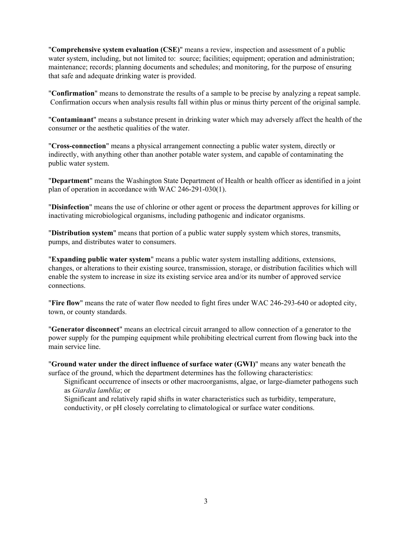"**Comprehensive system evaluation (CSE)**" means a review, inspection and assessment of a public water system, including, but not limited to: source; facilities; equipment; operation and administration; maintenance; records; planning documents and schedules; and monitoring, for the purpose of ensuring that safe and adequate drinking water is provided.

"**Confirmation**" means to demonstrate the results of a sample to be precise by analyzing a repeat sample. Confirmation occurs when analysis results fall within plus or minus thirty percent of the original sample.

"**Contaminant**" means a substance present in drinking water which may adversely affect the health of the consumer or the aesthetic qualities of the water.

"**Cross-connection**" means a physical arrangement connecting a public water system, directly or indirectly, with anything other than another potable water system, and capable of contaminating the public water system.

"**Department**" means the Washington State Department of Health or health officer as identified in a joint plan of operation in accordance with WAC 246-291-030(1).

"**Disinfection**" means the use of chlorine or other agent or process the department approves for killing or inactivating microbiological organisms, including pathogenic and indicator organisms.

"**Distribution system**" means that portion of a public water supply system which stores, transmits, pumps, and distributes water to consumers.

"**Expanding public water system**" means a public water system installing additions, extensions, changes, or alterations to their existing source, transmission, storage, or distribution facilities which will enable the system to increase in size its existing service area and/or its number of approved service connections.

"**Fire flow**" means the rate of water flow needed to fight fires under WAC 246-293-640 or adopted city, town, or county standards.

"**Generator disconnect**" means an electrical circuit arranged to allow connection of a generator to the power supply for the pumping equipment while prohibiting electrical current from flowing back into the main service line.

"**Ground water under the direct influence of surface water (GWI)**" means any water beneath the surface of the ground, which the department determines has the following characteristics:

 Significant occurrence of insects or other macroorganisms, algae, or large-diameter pathogens such as *Giardia lamblia*; or

 Significant and relatively rapid shifts in water characteristics such as turbidity, temperature, conductivity, or pH closely correlating to climatological or surface water conditions.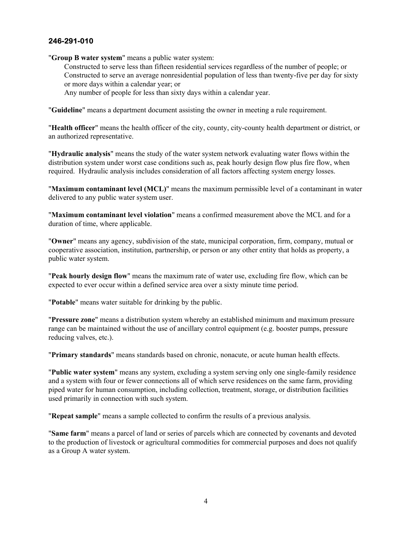"**Group B water system**" means a public water system:

 Constructed to serve less than fifteen residential services regardless of the number of people; or Constructed to serve an average nonresidential population of less than twenty-five per day for sixty or more days within a calendar year; or

Any number of people for less than sixty days within a calendar year.

"**Guideline**" means a department document assisting the owner in meeting a rule requirement.

"**Health officer**" means the health officer of the city, county, city-county health department or district, or an authorized representative.

"**Hydraulic analysis**" means the study of the water system network evaluating water flows within the distribution system under worst case conditions such as, peak hourly design flow plus fire flow, when required. Hydraulic analysis includes consideration of all factors affecting system energy losses.

"**Maximum contaminant level (MCL)**" means the maximum permissible level of a contaminant in water delivered to any public water system user.

"**Maximum contaminant level violation**" means a confirmed measurement above the MCL and for a duration of time, where applicable.

"**Owner**" means any agency, subdivision of the state, municipal corporation, firm, company, mutual or cooperative association, institution, partnership, or person or any other entity that holds as property, a public water system.

"**Peak hourly design flow**" means the maximum rate of water use, excluding fire flow, which can be expected to ever occur within a defined service area over a sixty minute time period.

"**Potable**" means water suitable for drinking by the public.

"**Pressure zone**" means a distribution system whereby an established minimum and maximum pressure range can be maintained without the use of ancillary control equipment (e.g. booster pumps, pressure reducing valves, etc.).

"**Primary standards**" means standards based on chronic, nonacute, or acute human health effects.

"**Public water system**" means any system, excluding a system serving only one single-family residence and a system with four or fewer connections all of which serve residences on the same farm, providing piped water for human consumption, including collection, treatment, storage, or distribution facilities used primarily in connection with such system.

"**Repeat sample**" means a sample collected to confirm the results of a previous analysis.

"**Same farm**" means a parcel of land or series of parcels which are connected by covenants and devoted to the production of livestock or agricultural commodities for commercial purposes and does not qualify as a Group A water system.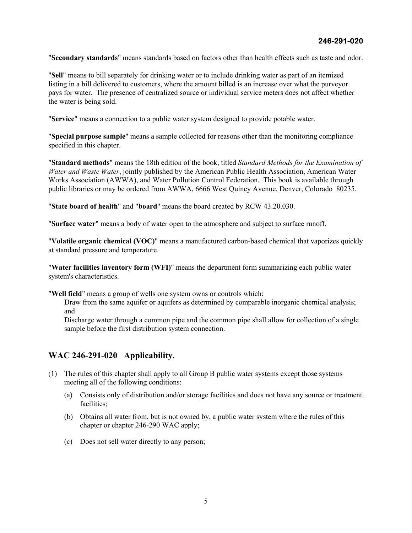"**Secondary standards**" means standards based on factors other than health effects such as taste and odor.

"**Sell**" means to bill separately for drinking water or to include drinking water as part of an itemized listing in a bill delivered to customers, where the amount billed is an increase over what the purveyor pays for water. The presence of centralized source or individual service meters does not affect whether the water is being sold.

"**Service**" means a connection to a public water system designed to provide potable water.

"**Special purpose sample**" means a sample collected for reasons other than the monitoring compliance specified in this chapter.

"**Standard methods**" means the 18th edition of the book, titled *Standard Methods for the Examination of Water and Waste Water*, jointly published by the American Public Health Association, American Water Works Association (AWWA), and Water Pollution Control Federation. This book is available through public libraries or may be ordered from AWWA, 6666 West Quincy Avenue, Denver, Colorado 80235.

"**State board of health**" and "**board**" means the board created by RCW 43.20.030.

"**Surface water**" means a body of water open to the atmosphere and subject to surface runoff.

"**Volatile organic chemical (VOC)**" means a manufactured carbon-based chemical that vaporizes quickly at standard pressure and temperature.

"**Water facilities inventory form (WFI)**" means the department form summarizing each public water system's characteristics.

"**Well field**" means a group of wells one system owns or controls which:

 Draw from the same aquifer or aquifers as determined by comparable inorganic chemical analysis; and

 Discharge water through a common pipe and the common pipe shall allow for collection of a single sample before the first distribution system connection.

#### **WAC 246-291-020 Applicability.**

- (1) The rules of this chapter shall apply to all Group B public water systems except those systems meeting all of the following conditions:
	- (a) Consists only of distribution and/or storage facilities and does not have any source or treatment facilities;
	- (b) Obtains all water from, but is not owned by, a public water system where the rules of this chapter or chapter 246-290 WAC apply;
	- (c) Does not sell water directly to any person;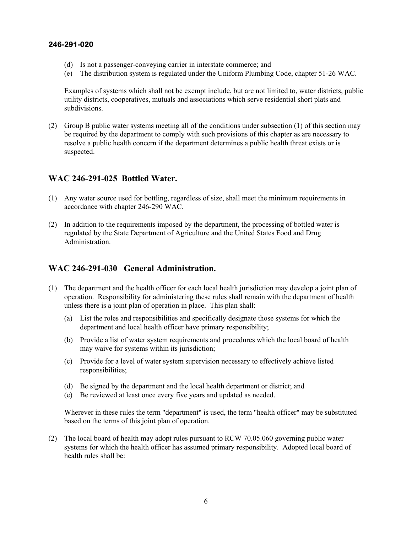- (d) Is not a passenger-conveying carrier in interstate commerce; and
- (e) The distribution system is regulated under the Uniform Plumbing Code, chapter 51-26 WAC.

 Examples of systems which shall not be exempt include, but are not limited to, water districts, public utility districts, cooperatives, mutuals and associations which serve residential short plats and subdivisions.

(2) Group B public water systems meeting all of the conditions under subsection (1) of this section may be required by the department to comply with such provisions of this chapter as are necessary to resolve a public health concern if the department determines a public health threat exists or is suspected.

#### **WAC 246-291-025 Bottled Water.**

- (1) Any water source used for bottling, regardless of size, shall meet the minimum requirements in accordance with chapter 246-290 WAC.
- (2) In addition to the requirements imposed by the department, the processing of bottled water is regulated by the State Department of Agriculture and the United States Food and Drug Administration.

#### **WAC 246-291-030 General Administration.**

- (1) The department and the health officer for each local health jurisdiction may develop a joint plan of operation. Responsibility for administering these rules shall remain with the department of health unless there is a joint plan of operation in place. This plan shall:
	- (a) List the roles and responsibilities and specifically designate those systems for which the department and local health officer have primary responsibility;
	- (b) Provide a list of water system requirements and procedures which the local board of health may waive for systems within its jurisdiction;
	- (c) Provide for a level of water system supervision necessary to effectively achieve listed responsibilities;
	- (d) Be signed by the department and the local health department or district; and
	- (e) Be reviewed at least once every five years and updated as needed.

 Wherever in these rules the term "department" is used, the term "health officer" may be substituted based on the terms of this joint plan of operation.

(2) The local board of health may adopt rules pursuant to RCW 70.05.060 governing public water systems for which the health officer has assumed primary responsibility. Adopted local board of health rules shall be: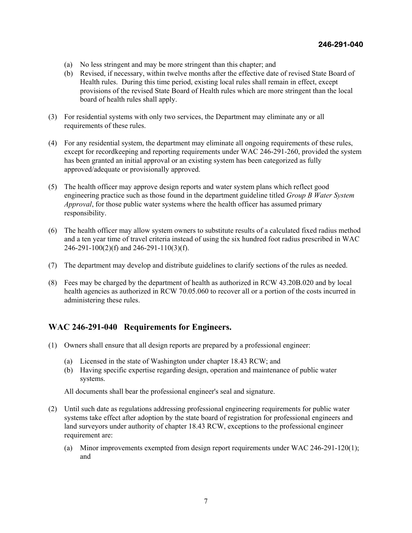- (a) No less stringent and may be more stringent than this chapter; and
- (b) Revised, if necessary, within twelve months after the effective date of revised State Board of Health rules. During this time period, existing local rules shall remain in effect, except provisions of the revised State Board of Health rules which are more stringent than the local board of health rules shall apply.
- (3) For residential systems with only two services, the Department may eliminate any or all requirements of these rules.
- (4) For any residential system, the department may eliminate all ongoing requirements of these rules, except for recordkeeping and reporting requirements under WAC 246-291-260, provided the system has been granted an initial approval or an existing system has been categorized as fully approved/adequate or provisionally approved.
- (5) The health officer may approve design reports and water system plans which reflect good engineering practice such as those found in the department guideline titled *Group B Water System Approval*, for those public water systems where the health officer has assumed primary responsibility.
- (6) The health officer may allow system owners to substitute results of a calculated fixed radius method and a ten year time of travel criteria instead of using the six hundred foot radius prescribed in WAC 246-291-100(2)(f) and 246-291-110(3)(f).
- (7) The department may develop and distribute guidelines to clarify sections of the rules as needed.
- (8) Fees may be charged by the department of health as authorized in RCW 43.20B.020 and by local health agencies as authorized in RCW 70.05.060 to recover all or a portion of the costs incurred in administering these rules.

#### **WAC 246-291-040 Requirements for Engineers.**

- (1) Owners shall ensure that all design reports are prepared by a professional engineer:
	- (a) Licensed in the state of Washington under chapter 18.43 RCW; and
	- (b) Having specific expertise regarding design, operation and maintenance of public water systems.

All documents shall bear the professional engineer's seal and signature.

- (2) Until such date as regulations addressing professional engineering requirements for public water systems take effect after adoption by the state board of registration for professional engineers and land surveyors under authority of chapter 18.43 RCW, exceptions to the professional engineer requirement are:
	- (a) Minor improvements exempted from design report requirements under WAC 246-291-120(1); and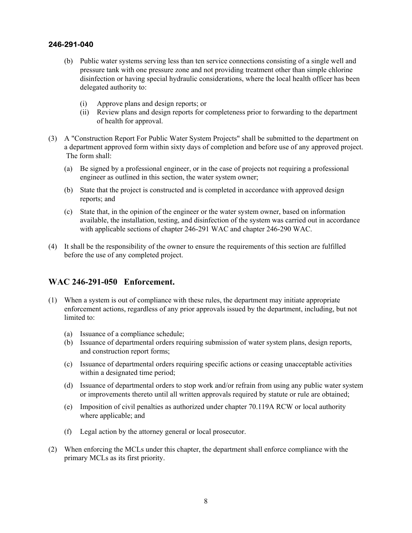- (b) Public water systems serving less than ten service connections consisting of a single well and pressure tank with one pressure zone and not providing treatment other than simple chlorine disinfection or having special hydraulic considerations, where the local health officer has been delegated authority to:
	- (i) Approve plans and design reports; or
	- (ii) Review plans and design reports for completeness prior to forwarding to the department of health for approval.
- (3) A "Construction Report For Public Water System Projects" shall be submitted to the department on a department approved form within sixty days of completion and before use of any approved project. The form shall:
	- (a) Be signed by a professional engineer, or in the case of projects not requiring a professional engineer as outlined in this section, the water system owner;
	- (b) State that the project is constructed and is completed in accordance with approved design reports; and
	- (c) State that, in the opinion of the engineer or the water system owner, based on information available, the installation, testing, and disinfection of the system was carried out in accordance with applicable sections of chapter 246-291 WAC and chapter 246-290 WAC.
- (4) It shall be the responsibility of the owner to ensure the requirements of this section are fulfilled before the use of any completed project.

#### **WAC 246-291-050 Enforcement.**

- (1) When a system is out of compliance with these rules, the department may initiate appropriate enforcement actions, regardless of any prior approvals issued by the department, including, but not limited to:
	- (a) Issuance of a compliance schedule;
	- (b) Issuance of departmental orders requiring submission of water system plans, design reports, and construction report forms;
	- (c) Issuance of departmental orders requiring specific actions or ceasing unacceptable activities within a designated time period;
	- (d) Issuance of departmental orders to stop work and/or refrain from using any public water system or improvements thereto until all written approvals required by statute or rule are obtained;
	- (e) Imposition of civil penalties as authorized under chapter 70.119A RCW or local authority where applicable; and
	- (f) Legal action by the attorney general or local prosecutor.
- (2) When enforcing the MCLs under this chapter, the department shall enforce compliance with the primary MCLs as its first priority.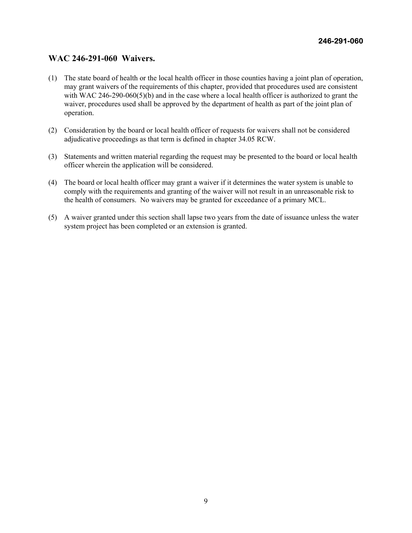#### **WAC 246-291-060 Waivers.**

- (1) The state board of health or the local health officer in those counties having a joint plan of operation, may grant waivers of the requirements of this chapter, provided that procedures used are consistent with WAC 246-290-060(5)(b) and in the case where a local health officer is authorized to grant the waiver, procedures used shall be approved by the department of health as part of the joint plan of operation.
- (2) Consideration by the board or local health officer of requests for waivers shall not be considered adjudicative proceedings as that term is defined in chapter 34.05 RCW.
- (3) Statements and written material regarding the request may be presented to the board or local health officer wherein the application will be considered.
- (4) The board or local health officer may grant a waiver if it determines the water system is unable to comply with the requirements and granting of the waiver will not result in an unreasonable risk to the health of consumers. No waivers may be granted for exceedance of a primary MCL.
- (5) A waiver granted under this section shall lapse two years from the date of issuance unless the water system project has been completed or an extension is granted.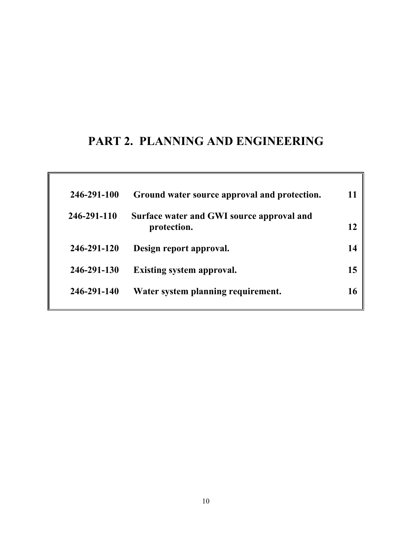## **PART 2. PLANNING AND ENGINEERING**

| 246-291-100 | Ground water source approval and protection.             | 11 |
|-------------|----------------------------------------------------------|----|
| 246-291-110 | Surface water and GWI source approval and<br>protection. | 12 |
| 246-291-120 | Design report approval.                                  | 14 |
| 246-291-130 | <b>Existing system approval.</b>                         | 15 |
| 246-291-140 | Water system planning requirement.                       | 16 |
|             |                                                          |    |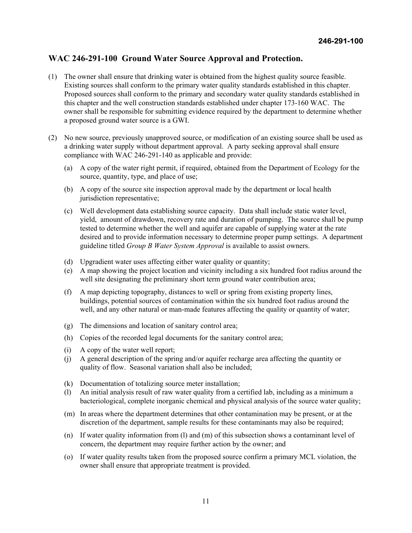#### **WAC 246-291-100 Ground Water Source Approval and Protection.**

- (1) The owner shall ensure that drinking water is obtained from the highest quality source feasible. Existing sources shall conform to the primary water quality standards established in this chapter. Proposed sources shall conform to the primary and secondary water quality standards established in this chapter and the well construction standards established under chapter 173-160 WAC. The owner shall be responsible for submitting evidence required by the department to determine whether a proposed ground water source is a GWI.
- (2) No new source, previously unapproved source, or modification of an existing source shall be used as a drinking water supply without department approval. A party seeking approval shall ensure compliance with WAC 246-291-140 as applicable and provide:
	- (a) A copy of the water right permit, if required, obtained from the Department of Ecology for the source, quantity, type, and place of use;
	- (b) A copy of the source site inspection approval made by the department or local health jurisdiction representative;
	- (c) Well development data establishing source capacity. Data shall include static water level, yield, amount of drawdown, recovery rate and duration of pumping. The source shall be pump tested to determine whether the well and aquifer are capable of supplying water at the rate desired and to provide information necessary to determine proper pump settings. A department guideline titled *Group B Water System Approval* is available to assist owners.
	- (d) Upgradient water uses affecting either water quality or quantity;
	- (e) A map showing the project location and vicinity including a six hundred foot radius around the well site designating the preliminary short term ground water contribution area;
	- (f) A map depicting topography, distances to well or spring from existing property lines, buildings, potential sources of contamination within the six hundred foot radius around the well, and any other natural or man-made features affecting the quality or quantity of water;
	- (g) The dimensions and location of sanitary control area;
	- (h) Copies of the recorded legal documents for the sanitary control area;
	- (i) A copy of the water well report;
	- (j) A general description of the spring and/or aquifer recharge area affecting the quantity or quality of flow. Seasonal variation shall also be included;
	- (k) Documentation of totalizing source meter installation;
	- (l) An initial analysis result of raw water quality from a certified lab, including as a minimum a bacteriological, complete inorganic chemical and physical analysis of the source water quality;
	- (m) In areas where the department determines that other contamination may be present, or at the discretion of the department, sample results for these contaminants may also be required;
	- (n) If water quality information from (l) and (m) of this subsection shows a contaminant level of concern, the department may require further action by the owner; and
	- (o) If water quality results taken from the proposed source confirm a primary MCL violation, the owner shall ensure that appropriate treatment is provided.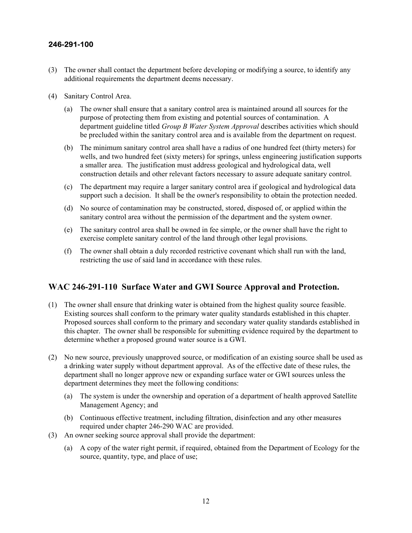- (3) The owner shall contact the department before developing or modifying a source, to identify any additional requirements the department deems necessary.
- (4) Sanitary Control Area.
	- (a) The owner shall ensure that a sanitary control area is maintained around all sources for the purpose of protecting them from existing and potential sources of contamination. A department guideline titled *Group B Water System Approval* describes activities which should be precluded within the sanitary control area and is available from the department on request.
	- (b) The minimum sanitary control area shall have a radius of one hundred feet (thirty meters) for wells, and two hundred feet (sixty meters) for springs, unless engineering justification supports a smaller area. The justification must address geological and hydrological data, well construction details and other relevant factors necessary to assure adequate sanitary control.
	- (c) The department may require a larger sanitary control area if geological and hydrological data support such a decision. It shall be the owner's responsibility to obtain the protection needed.
	- (d) No source of contamination may be constructed, stored, disposed of, or applied within the sanitary control area without the permission of the department and the system owner.
	- (e) The sanitary control area shall be owned in fee simple, or the owner shall have the right to exercise complete sanitary control of the land through other legal provisions.
	- (f) The owner shall obtain a duly recorded restrictive covenant which shall run with the land, restricting the use of said land in accordance with these rules.

#### **WAC 246-291-110 Surface Water and GWI Source Approval and Protection.**

- (1) The owner shall ensure that drinking water is obtained from the highest quality source feasible. Existing sources shall conform to the primary water quality standards established in this chapter. Proposed sources shall conform to the primary and secondary water quality standards established in this chapter. The owner shall be responsible for submitting evidence required by the department to determine whether a proposed ground water source is a GWI.
- (2) No new source, previously unapproved source, or modification of an existing source shall be used as a drinking water supply without department approval. As of the effective date of these rules, the department shall no longer approve new or expanding surface water or GWI sources unless the department determines they meet the following conditions:
	- (a) The system is under the ownership and operation of a department of health approved Satellite Management Agency; and
	- (b) Continuous effective treatment, including filtration, disinfection and any other measures required under chapter 246-290 WAC are provided.
- (3) An owner seeking source approval shall provide the department:
	- (a) A copy of the water right permit, if required, obtained from the Department of Ecology for the source, quantity, type, and place of use;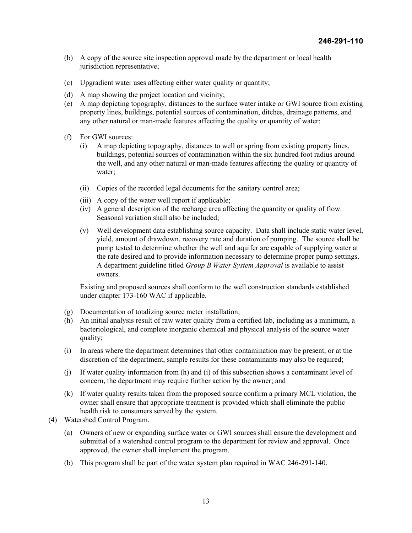- (b) A copy of the source site inspection approval made by the department or local health jurisdiction representative;
- (c) Upgradient water uses affecting either water quality or quantity;
- (d) A map showing the project location and vicinity;
- (e) A map depicting topography, distances to the surface water intake or GWI source from existing property lines, buildings, potential sources of contamination, ditches, drainage patterns, and any other natural or man-made features affecting the quality or quantity of water;
- (f) For GWI sources:
	- (i) A map depicting topography, distances to well or spring from existing property lines, buildings, potential sources of contamination within the six hundred foot radius around the well, and any other natural or man-made features affecting the quality or quantity of water;
	- (ii) Copies of the recorded legal documents for the sanitary control area;
	- (iii) A copy of the water well report if applicable;
	- (iv) A general description of the recharge area affecting the quantity or quality of flow. Seasonal variation shall also be included;
	- (v) Well development data establishing source capacity. Data shall include static water level, yield, amount of drawdown, recovery rate and duration of pumping. The source shall be pump tested to determine whether the well and aquifer are capable of supplying water at the rate desired and to provide information necessary to determine proper pump settings. A department guideline titled *Group B Water System Approval* is available to assist owners.

 Existing and proposed sources shall conform to the well construction standards established under chapter 173-160 WAC if applicable.

- (g) Documentation of totalizing source meter installation;
- (h) An initial analysis result of raw water quality from a certified lab, including as a minimum, a bacteriological, and complete inorganic chemical and physical analysis of the source water quality;
- (i) In areas where the department determines that other contamination may be present, or at the discretion of the department, sample results for these contaminants may also be required;
- (j) If water quality information from (h) and (i) of this subsection shows a contaminant level of concern, the department may require further action by the owner; and
- (k) If water quality results taken from the proposed source confirm a primary MCL violation, the owner shall ensure that appropriate treatment is provided which shall eliminate the public health risk to consumers served by the system.
- (4) Watershed Control Program.
	- (a) Owners of new or expanding surface water or GWI sources shall ensure the development and submittal of a watershed control program to the department for review and approval. Once approved, the owner shall implement the program.
	- (b) This program shall be part of the water system plan required in WAC 246-291-140.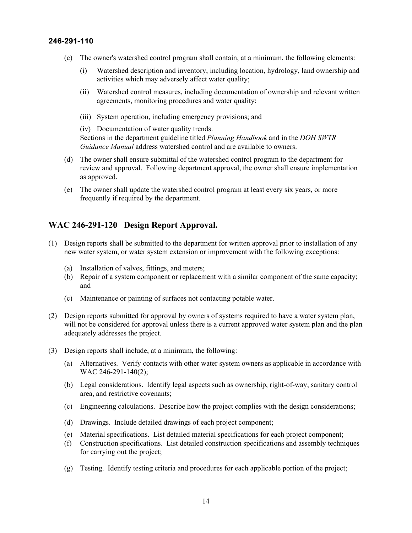- (c) The owner's watershed control program shall contain, at a minimum, the following elements:
	- (i) Watershed description and inventory, including location, hydrology, land ownership and activities which may adversely affect water quality;
	- (ii) Watershed control measures, including documentation of ownership and relevant written agreements, monitoring procedures and water quality;
	- (iii) System operation, including emergency provisions; and
	- (iv) Documentation of water quality trends.

 Sections in the department guideline titled *Planning Handbook* and in the *DOH SWTR Guidance Manual* address watershed control and are available to owners.

- (d) The owner shall ensure submittal of the watershed control program to the department for review and approval. Following department approval, the owner shall ensure implementation as approved.
- (e) The owner shall update the watershed control program at least every six years, or more frequently if required by the department.

#### **WAC 246-291-120 Design Report Approval.**

- (1) Design reports shall be submitted to the department for written approval prior to installation of any new water system, or water system extension or improvement with the following exceptions:
	- (a) Installation of valves, fittings, and meters;
	- (b) Repair of a system component or replacement with a similar component of the same capacity; and
	- (c) Maintenance or painting of surfaces not contacting potable water.
- (2) Design reports submitted for approval by owners of systems required to have a water system plan, will not be considered for approval unless there is a current approved water system plan and the plan adequately addresses the project.
- (3) Design reports shall include, at a minimum, the following:
	- (a) Alternatives. Verify contacts with other water system owners as applicable in accordance with WAC 246-291-140(2);
	- (b) Legal considerations. Identify legal aspects such as ownership, right-of-way, sanitary control area, and restrictive covenants;
	- (c) Engineering calculations. Describe how the project complies with the design considerations;
	- (d) Drawings. Include detailed drawings of each project component;
	- (e) Material specifications. List detailed material specifications for each project component;
	- (f) Construction specifications. List detailed construction specifications and assembly techniques for carrying out the project;
	- (g) Testing. Identify testing criteria and procedures for each applicable portion of the project;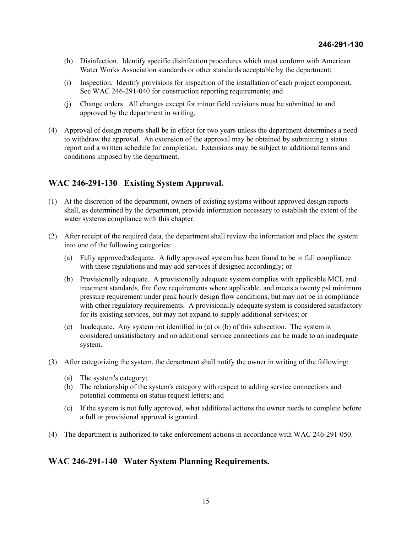- (h) Disinfection. Identify specific disinfection procedures which must conform with American Water Works Association standards or other standards acceptable by the department;
- (i) Inspection. Identify provisions for inspection of the installation of each project component. See WAC 246-291-040 for construction reporting requirements; and
- (j) Change orders. All changes except for minor field revisions must be submitted to and approved by the department in writing.
- (4) Approval of design reports shall be in effect for two years unless the department determines a need to withdraw the approval. An extension of the approval may be obtained by submitting a status report and a written schedule for completion. Extensions may be subject to additional terms and conditions imposed by the department.

#### **WAC 246-291-130 Existing System Approval.**

- (1) At the discretion of the department, owners of existing systems without approved design reports shall, as determined by the department, provide information necessary to establish the extent of the water systems compliance with this chapter.
- (2) After receipt of the required data, the department shall review the information and place the system into one of the following categories:
	- (a) Fully approved/adequate. A fully approved system has been found to be in full compliance with these regulations and may add services if designed accordingly; or
	- (b) Provisionally adequate. A provisionally adequate system complies with applicable MCL and treatment standards, fire flow requirements where applicable, and meets a twenty psi minimum pressure requirement under peak hourly design flow conditions, but may not be in compliance with other regulatory requirements. A provisionally adequate system is considered satisfactory for its existing services, but may not expand to supply additional services; or
	- (c) Inadequate. Any system not identified in (a) or (b) of this subsection. The system is considered unsatisfactory and no additional service connections can be made to an inadequate system.
- (3) After categorizing the system, the department shall notify the owner in writing of the following:
	- (a) The system's category;
	- (b) The relationship of the system's category with respect to adding service connections and potential comments on status request letters; and
	- (c) If the system is not fully approved, what additional actions the owner needs to complete before a full or provisional approval is granted.
- (4) The department is authorized to take enforcement actions in accordance with WAC 246-291-050.

#### **WAC 246-291-140 Water System Planning Requirements.**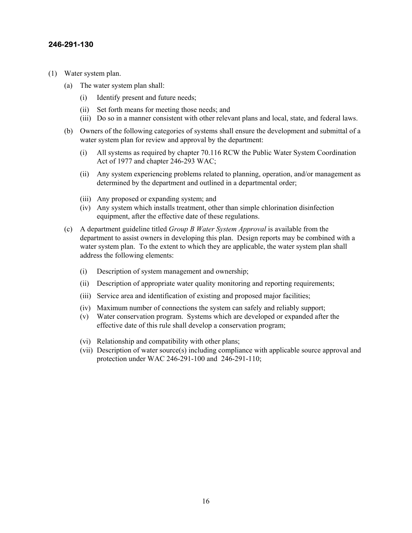- (1) Water system plan.
	- (a) The water system plan shall:
		- (i) Identify present and future needs;
		- (ii) Set forth means for meeting those needs; and
		- (iii) Do so in a manner consistent with other relevant plans and local, state, and federal laws.
	- (b) Owners of the following categories of systems shall ensure the development and submittal of a water system plan for review and approval by the department:
		- (i) All systems as required by chapter 70.116 RCW the Public Water System Coordination Act of 1977 and chapter 246-293 WAC;
		- (ii) Any system experiencing problems related to planning, operation, and/or management as determined by the department and outlined in a departmental order;
		- (iii) Any proposed or expanding system; and
		- (iv) Any system which installs treatment, other than simple chlorination disinfection equipment, after the effective date of these regulations.
	- (c) A department guideline titled *Group B Water System Approval* is available from the department to assist owners in developing this plan. Design reports may be combined with a water system plan. To the extent to which they are applicable, the water system plan shall address the following elements:
		- (i) Description of system management and ownership;
		- (ii) Description of appropriate water quality monitoring and reporting requirements;
		- (iii) Service area and identification of existing and proposed major facilities;
		- (iv) Maximum number of connections the system can safely and reliably support;
		- (v) Water conservation program. Systems which are developed or expanded after the effective date of this rule shall develop a conservation program;
		- (vi) Relationship and compatibility with other plans;
		- (vii) Description of water source(s) including compliance with applicable source approval and protection under WAC 246-291-100 and 246-291-110;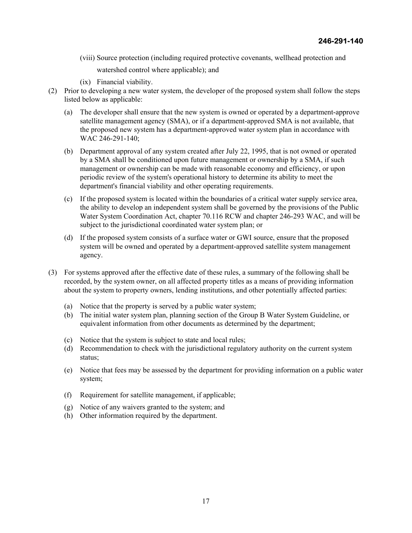- (viii) Source protection (including required protective covenants, wellhead protection and watershed control where applicable); and
- (ix) Financial viability.
- (2) Prior to developing a new water system, the developer of the proposed system shall follow the steps listed below as applicable:
	- (a) The developer shall ensure that the new system is owned or operated by a department-approve satellite management agency (SMA), or if a department-approved SMA is not available, that the proposed new system has a department-approved water system plan in accordance with WAC 246-291-140;
	- (b) Department approval of any system created after July 22, 1995, that is not owned or operated by a SMA shall be conditioned upon future management or ownership by a SMA, if such management or ownership can be made with reasonable economy and efficiency, or upon periodic review of the system's operational history to determine its ability to meet the department's financial viability and other operating requirements.
	- (c) If the proposed system is located within the boundaries of a critical water supply service area, the ability to develop an independent system shall be governed by the provisions of the Public Water System Coordination Act, chapter 70.116 RCW and chapter 246-293 WAC, and will be subject to the jurisdictional coordinated water system plan; or
	- (d) If the proposed system consists of a surface water or GWI source, ensure that the proposed system will be owned and operated by a department-approved satellite system management agency.
- (3) For systems approved after the effective date of these rules, a summary of the following shall be recorded, by the system owner, on all affected property titles as a means of providing information about the system to property owners, lending institutions, and other potentially affected parties:
	- (a) Notice that the property is served by a public water system;
	- (b) The initial water system plan, planning section of the Group B Water System Guideline, or equivalent information from other documents as determined by the department;
	- (c) Notice that the system is subject to state and local rules;
	- (d) Recommendation to check with the jurisdictional regulatory authority on the current system status;
	- (e) Notice that fees may be assessed by the department for providing information on a public water system;
	- (f) Requirement for satellite management, if applicable;
	- (g) Notice of any waivers granted to the system; and
	- (h) Other information required by the department.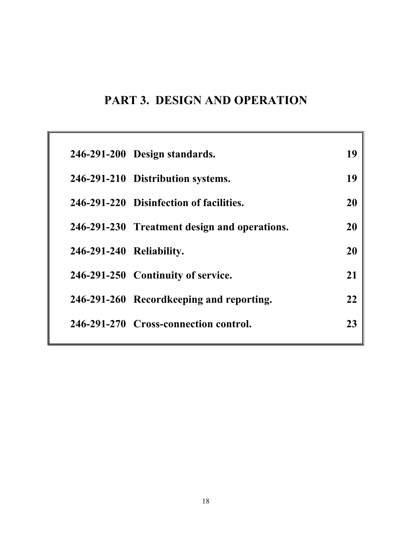## **PART 3. DESIGN AND OPERATION**

|                          | 246-291-200 Design standards.                | 19 |
|--------------------------|----------------------------------------------|----|
|                          | 246-291-210 Distribution systems.            | 19 |
|                          | 246-291-220 Disinfection of facilities.      | 20 |
|                          | 246-291-230 Treatment design and operations. | 20 |
| 246-291-240 Reliability. |                                              | 20 |
|                          | 246-291-250 Continuity of service.           | 21 |
|                          | 246-291-260 Recordkeeping and reporting.     | 22 |
|                          | 246-291-270 Cross-connection control.        | 23 |
|                          |                                              |    |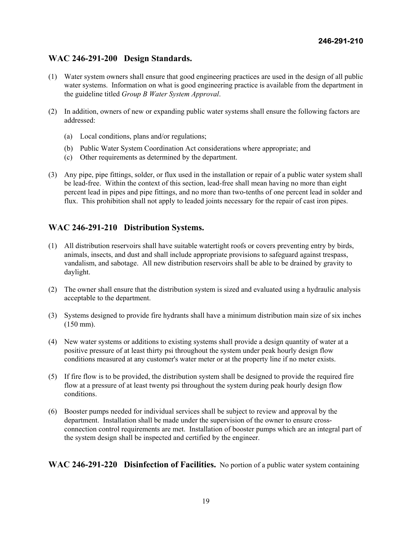#### **WAC 246-291-200 Design Standards.**

- (1) Water system owners shall ensure that good engineering practices are used in the design of all public water systems. Information on what is good engineering practice is available from the department in the guideline titled *Group B Water System Approval*.
- (2) In addition, owners of new or expanding public water systems shall ensure the following factors are addressed:
	- (a) Local conditions, plans and/or regulations;
	- (b) Public Water System Coordination Act considerations where appropriate; and
	- (c) Other requirements as determined by the department.
- (3) Any pipe, pipe fittings, solder, or flux used in the installation or repair of a public water system shall be lead-free. Within the context of this section, lead-free shall mean having no more than eight percent lead in pipes and pipe fittings, and no more than two-tenths of one percent lead in solder and flux. This prohibition shall not apply to leaded joints necessary for the repair of cast iron pipes.

#### **WAC 246-291-210 Distribution Systems.**

- (1) All distribution reservoirs shall have suitable watertight roofs or covers preventing entry by birds, animals, insects, and dust and shall include appropriate provisions to safeguard against trespass, vandalism, and sabotage. All new distribution reservoirs shall be able to be drained by gravity to daylight.
- (2) The owner shall ensure that the distribution system is sized and evaluated using a hydraulic analysis acceptable to the department.
- (3) Systems designed to provide fire hydrants shall have a minimum distribution main size of six inches (150 mm).
- (4) New water systems or additions to existing systems shall provide a design quantity of water at a positive pressure of at least thirty psi throughout the system under peak hourly design flow conditions measured at any customer's water meter or at the property line if no meter exists.
- (5) If fire flow is to be provided, the distribution system shall be designed to provide the required fire flow at a pressure of at least twenty psi throughout the system during peak hourly design flow conditions.
- (6) Booster pumps needed for individual services shall be subject to review and approval by the department. Installation shall be made under the supervision of the owner to ensure crossconnection control requirements are met. Installation of booster pumps which are an integral part of the system design shall be inspected and certified by the engineer.

**WAC 246-291-220 Disinfection of Facilities.** No portion of a public water system containing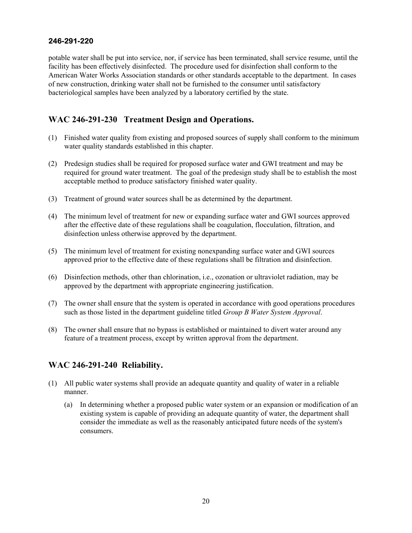potable water shall be put into service, nor, if service has been terminated, shall service resume, until the facility has been effectively disinfected. The procedure used for disinfection shall conform to the American Water Works Association standards or other standards acceptable to the department. In cases of new construction, drinking water shall not be furnished to the consumer until satisfactory bacteriological samples have been analyzed by a laboratory certified by the state.

#### **WAC 246-291-230 Treatment Design and Operations.**

- (1) Finished water quality from existing and proposed sources of supply shall conform to the minimum water quality standards established in this chapter.
- (2) Predesign studies shall be required for proposed surface water and GWI treatment and may be required for ground water treatment. The goal of the predesign study shall be to establish the most acceptable method to produce satisfactory finished water quality.
- (3) Treatment of ground water sources shall be as determined by the department.
- (4) The minimum level of treatment for new or expanding surface water and GWI sources approved after the effective date of these regulations shall be coagulation, flocculation, filtration, and disinfection unless otherwise approved by the department.
- (5) The minimum level of treatment for existing nonexpanding surface water and GWI sources approved prior to the effective date of these regulations shall be filtration and disinfection.
- (6) Disinfection methods, other than chlorination, i.e., ozonation or ultraviolet radiation, may be approved by the department with appropriate engineering justification.
- (7) The owner shall ensure that the system is operated in accordance with good operations procedures such as those listed in the department guideline titled *Group B Water System Approval*.
- (8) The owner shall ensure that no bypass is established or maintained to divert water around any feature of a treatment process, except by written approval from the department.

#### **WAC 246-291-240 Reliability.**

- (1) All public water systems shall provide an adequate quantity and quality of water in a reliable manner.
	- (a) In determining whether a proposed public water system or an expansion or modification of an existing system is capable of providing an adequate quantity of water, the department shall consider the immediate as well as the reasonably anticipated future needs of the system's consumers.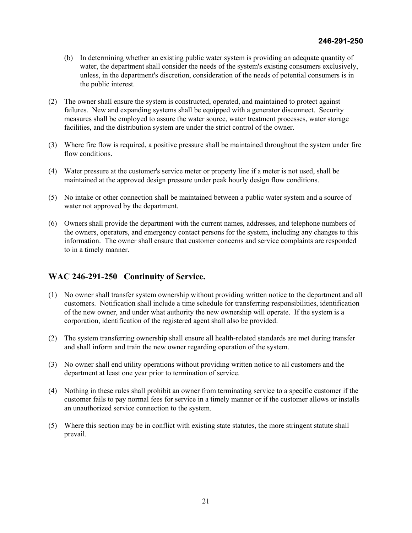- (b) In determining whether an existing public water system is providing an adequate quantity of water, the department shall consider the needs of the system's existing consumers exclusively, unless, in the department's discretion, consideration of the needs of potential consumers is in the public interest.
- (2) The owner shall ensure the system is constructed, operated, and maintained to protect against failures. New and expanding systems shall be equipped with a generator disconnect. Security measures shall be employed to assure the water source, water treatment processes, water storage facilities, and the distribution system are under the strict control of the owner.
- (3) Where fire flow is required, a positive pressure shall be maintained throughout the system under fire flow conditions.
- (4) Water pressure at the customer's service meter or property line if a meter is not used, shall be maintained at the approved design pressure under peak hourly design flow conditions.
- (5) No intake or other connection shall be maintained between a public water system and a source of water not approved by the department.
- (6) Owners shall provide the department with the current names, addresses, and telephone numbers of the owners, operators, and emergency contact persons for the system, including any changes to this information. The owner shall ensure that customer concerns and service complaints are responded to in a timely manner.

#### **WAC 246-291-250 Continuity of Service.**

- (1) No owner shall transfer system ownership without providing written notice to the department and all customers. Notification shall include a time schedule for transferring responsibilities, identification of the new owner, and under what authority the new ownership will operate. If the system is a corporation, identification of the registered agent shall also be provided.
- (2) The system transferring ownership shall ensure all health-related standards are met during transfer and shall inform and train the new owner regarding operation of the system.
- (3) No owner shall end utility operations without providing written notice to all customers and the department at least one year prior to termination of service.
- (4) Nothing in these rules shall prohibit an owner from terminating service to a specific customer if the customer fails to pay normal fees for service in a timely manner or if the customer allows or installs an unauthorized service connection to the system.
- (5) Where this section may be in conflict with existing state statutes, the more stringent statute shall prevail.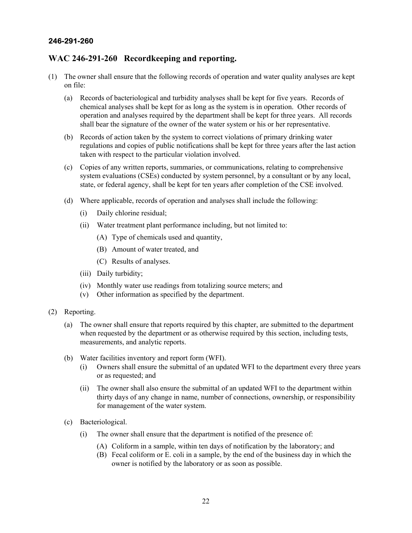#### **WAC 246-291-260 Recordkeeping and reporting.**

- (1) The owner shall ensure that the following records of operation and water quality analyses are kept on file:
	- (a) Records of bacteriological and turbidity analyses shall be kept for five years. Records of chemical analyses shall be kept for as long as the system is in operation. Other records of operation and analyses required by the department shall be kept for three years. All records shall bear the signature of the owner of the water system or his or her representative.
	- (b) Records of action taken by the system to correct violations of primary drinking water regulations and copies of public notifications shall be kept for three years after the last action taken with respect to the particular violation involved.
	- (c) Copies of any written reports, summaries, or communications, relating to comprehensive system evaluations (CSEs) conducted by system personnel, by a consultant or by any local, state, or federal agency, shall be kept for ten years after completion of the CSE involved.
	- (d) Where applicable, records of operation and analyses shall include the following:
		- (i) Daily chlorine residual;
		- (ii) Water treatment plant performance including, but not limited to:
			- (A) Type of chemicals used and quantity,
			- (B) Amount of water treated, and
			- (C) Results of analyses.
		- (iii) Daily turbidity;
		- (iv) Monthly water use readings from totalizing source meters; and
		- (v) Other information as specified by the department.
- (2) Reporting.
	- (a) The owner shall ensure that reports required by this chapter, are submitted to the department when requested by the department or as otherwise required by this section, including tests, measurements, and analytic reports.
	- (b) Water facilities inventory and report form (WFI).
		- (i) Owners shall ensure the submittal of an updated WFI to the department every three years or as requested; and
		- (ii) The owner shall also ensure the submittal of an updated WFI to the department within thirty days of any change in name, number of connections, ownership, or responsibility for management of the water system.
	- (c) Bacteriological.
		- (i) The owner shall ensure that the department is notified of the presence of:
			- (A) Coliform in a sample, within ten days of notification by the laboratory; and
			- (B) Fecal coliform or E. coli in a sample, by the end of the business day in which the owner is notified by the laboratory or as soon as possible.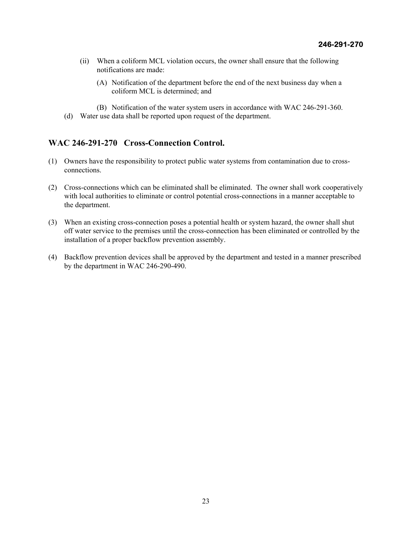- (ii) When a coliform MCL violation occurs, the owner shall ensure that the following notifications are made:
	- (A) Notification of the department before the end of the next business day when a coliform MCL is determined; and
	- (B) Notification of the water system users in accordance with WAC 246-291-360.
- (d) Water use data shall be reported upon request of the department.

#### **WAC 246-291-270 Cross-Connection Control.**

- (1) Owners have the responsibility to protect public water systems from contamination due to crossconnections.
- (2) Cross-connections which can be eliminated shall be eliminated. The owner shall work cooperatively with local authorities to eliminate or control potential cross-connections in a manner acceptable to the department.
- (3) When an existing cross-connection poses a potential health or system hazard, the owner shall shut off water service to the premises until the cross-connection has been eliminated or controlled by the installation of a proper backflow prevention assembly.
- (4) Backflow prevention devices shall be approved by the department and tested in a manner prescribed by the department in WAC 246-290-490.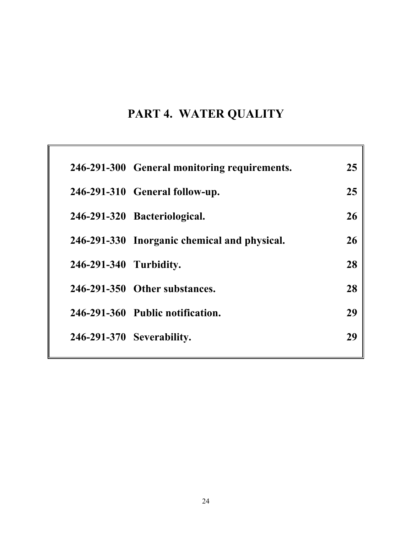## **PART 4. WATER QUALITY**

|                        | 246-291-300 General monitoring requirements. | 25 |
|------------------------|----------------------------------------------|----|
|                        | 246-291-310 General follow-up.               | 25 |
|                        | 246-291-320 Bacteriological.                 | 26 |
|                        | 246-291-330 Inorganic chemical and physical. | 26 |
| 246-291-340 Turbidity. |                                              | 28 |
|                        | 246-291-350 Other substances.                | 28 |
|                        | 246-291-360 Public notification.             | 29 |
|                        | 246-291-370 Severability.                    | 29 |
|                        |                                              |    |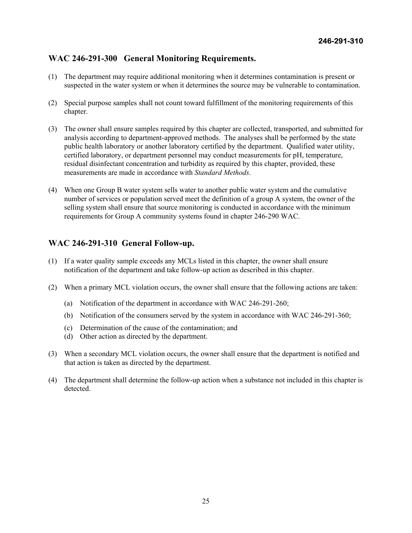#### **WAC 246-291-300 General Monitoring Requirements.**

- (1) The department may require additional monitoring when it determines contamination is present or suspected in the water system or when it determines the source may be vulnerable to contamination.
- (2) Special purpose samples shall not count toward fulfillment of the monitoring requirements of this chapter.
- (3) The owner shall ensure samples required by this chapter are collected, transported, and submitted for analysis according to department-approved methods. The analyses shall be performed by the state public health laboratory or another laboratory certified by the department. Qualified water utility, certified laboratory, or department personnel may conduct measurements for pH, temperature, residual disinfectant concentration and turbidity as required by this chapter, provided, these measurements are made in accordance with *Standard Methods*.
- (4) When one Group B water system sells water to another public water system and the cumulative number of services or population served meet the definition of a group A system, the owner of the selling system shall ensure that source monitoring is conducted in accordance with the minimum requirements for Group A community systems found in chapter 246-290 WAC.

#### **WAC 246-291-310 General Follow-up.**

- (1) If a water quality sample exceeds any MCLs listed in this chapter, the owner shall ensure notification of the department and take follow-up action as described in this chapter.
- (2) When a primary MCL violation occurs, the owner shall ensure that the following actions are taken:
	- (a) Notification of the department in accordance with WAC 246-291-260;
	- (b) Notification of the consumers served by the system in accordance with WAC 246-291-360;
	- (c) Determination of the cause of the contamination; and
	- (d) Other action as directed by the department.
- (3) When a secondary MCL violation occurs, the owner shall ensure that the department is notified and that action is taken as directed by the department.
- (4) The department shall determine the follow-up action when a substance not included in this chapter is detected.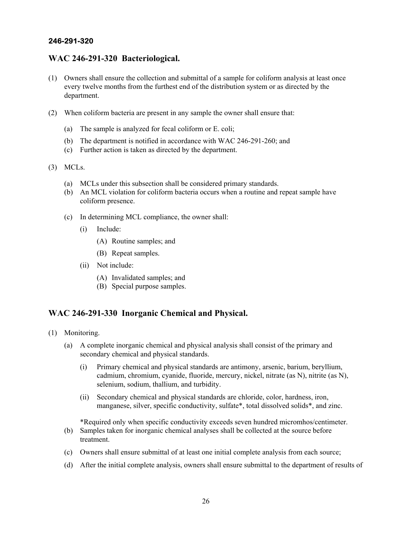#### **WAC 246-291-320 Bacteriological.**

- (1) Owners shall ensure the collection and submittal of a sample for coliform analysis at least once every twelve months from the furthest end of the distribution system or as directed by the department.
- (2) When coliform bacteria are present in any sample the owner shall ensure that:
	- (a) The sample is analyzed for fecal coliform or E. coli;
	- (b) The department is notified in accordance with WAC 246-291-260; and
	- (c) Further action is taken as directed by the department.
- (3) MCLs.
	- (a) MCLs under this subsection shall be considered primary standards.
	- (b) An MCL violation for coliform bacteria occurs when a routine and repeat sample have coliform presence.
	- (c) In determining MCL compliance, the owner shall:
		- (i) Include:
			- (A) Routine samples; and
			- (B) Repeat samples.
		- (ii) Not include:
			- (A) Invalidated samples; and
			- (B) Special purpose samples.

#### **WAC 246-291-330 Inorganic Chemical and Physical.**

- (1) Monitoring.
	- (a) A complete inorganic chemical and physical analysis shall consist of the primary and secondary chemical and physical standards.
		- (i) Primary chemical and physical standards are antimony, arsenic, barium, beryllium, cadmium, chromium, cyanide, fluoride, mercury, nickel, nitrate (as N), nitrite (as N), selenium, sodium, thallium, and turbidity.
		- (ii) Secondary chemical and physical standards are chloride, color, hardness, iron, manganese, silver, specific conductivity, sulfate\*, total dissolved solids\*, and zinc.
		- \*Required only when specific conductivity exceeds seven hundred micromhos/centimeter.
	- (b) Samples taken for inorganic chemical analyses shall be collected at the source before treatment.
	- (c) Owners shall ensure submittal of at least one initial complete analysis from each source;
	- (d) After the initial complete analysis, owners shall ensure submittal to the department of results of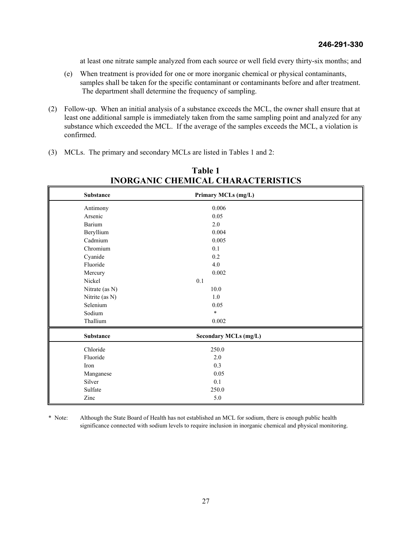at least one nitrate sample analyzed from each source or well field every thirty-six months; and

- (e) When treatment is provided for one or more inorganic chemical or physical contaminants, samples shall be taken for the specific contaminant or contaminants before and after treatment. The department shall determine the frequency of sampling.
- (2) Follow-up. When an initial analysis of a substance exceeds the MCL, the owner shall ensure that at least one additional sample is immediately taken from the same sampling point and analyzed for any substance which exceeded the MCL. If the average of the samples exceeds the MCL, a violation is confirmed.
- (3) MCLs. The primary and secondary MCLs are listed in Tables 1 and 2:

| <b>Substance</b> | Primary MCLs (mg/L)          |  |
|------------------|------------------------------|--|
| Antimony         | 0.006                        |  |
| Arsenic          | 0.05                         |  |
| Barium           | $2.0\,$                      |  |
| Beryllium        | 0.004                        |  |
| Cadmium          | 0.005                        |  |
| Chromium         | 0.1                          |  |
| Cyanide          | 0.2                          |  |
| Fluoride         | $4.0\,$                      |  |
| Mercury          | 0.002                        |  |
| Nickel           | 0.1                          |  |
| Nitrate (as N)   | 10.0                         |  |
| Nitrite (as N)   | $1.0\,$                      |  |
| Selenium         | 0.05                         |  |
| Sodium           | $\ast$                       |  |
| Thallium         | 0.002                        |  |
| <b>Substance</b> | <b>Secondary MCLs (mg/L)</b> |  |
| Chloride         | 250.0                        |  |
| Fluoride         | 2.0                          |  |
| Iron             | 0.3                          |  |
| Manganese        | 0.05                         |  |
| Silver           | 0.1                          |  |
| Sulfate          | 250.0                        |  |
| Zinc             | 5.0                          |  |

#### **Table 1 INORGANIC CHEMICAL CHARACTERISTICS**

\* Note: Although the State Board of Health has not established an MCL for sodium, there is enough public health significance connected with sodium levels to require inclusion in inorganic chemical and physical monitoring.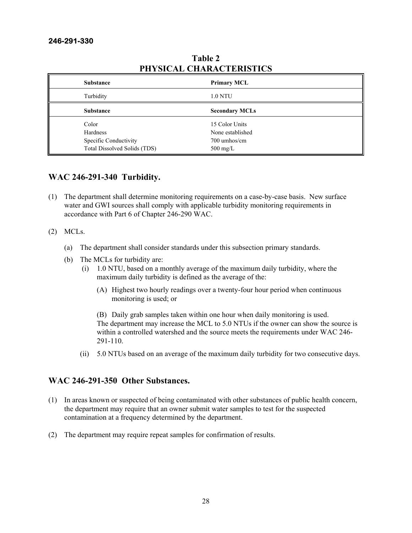| <b>Substance</b>                                      | <b>Primary MCL</b>                 |
|-------------------------------------------------------|------------------------------------|
| Turbidity                                             | <b>1.0 NTU</b>                     |
| <b>Substance</b>                                      | <b>Secondary MCLs</b>              |
| Color<br>Hardness                                     | 15 Color Units<br>None established |
| Specific Conductivity<br>Total Dissolved Solids (TDS) | 700 umhos/cm<br>$500 \text{ mg/L}$ |

#### **Table 2 PHYSICAL CHARACTERISTICS**

#### **WAC 246-291-340 Turbidity.**

(1) The department shall determine monitoring requirements on a case-by-case basis. New surface water and GWI sources shall comply with applicable turbidity monitoring requirements in accordance with Part 6 of Chapter 246-290 WAC.

#### (2) MCLs.

- (a) The department shall consider standards under this subsection primary standards.
- (b) The MCLs for turbidity are:
	- (i) 1.0 NTU, based on a monthly average of the maximum daily turbidity, where the maximum daily turbidity is defined as the average of the:
		- (A) Highest two hourly readings over a twenty-four hour period when continuous monitoring is used; or

 (B) Daily grab samples taken within one hour when daily monitoring is used. The department may increase the MCL to 5.0 NTUs if the owner can show the source is within a controlled watershed and the source meets the requirements under WAC 246- 291-110.

(ii) 5.0 NTUs based on an average of the maximum daily turbidity for two consecutive days.

#### **WAC 246-291-350 Other Substances.**

- (1) In areas known or suspected of being contaminated with other substances of public health concern, the department may require that an owner submit water samples to test for the suspected contamination at a frequency determined by the department.
- (2) The department may require repeat samples for confirmation of results.